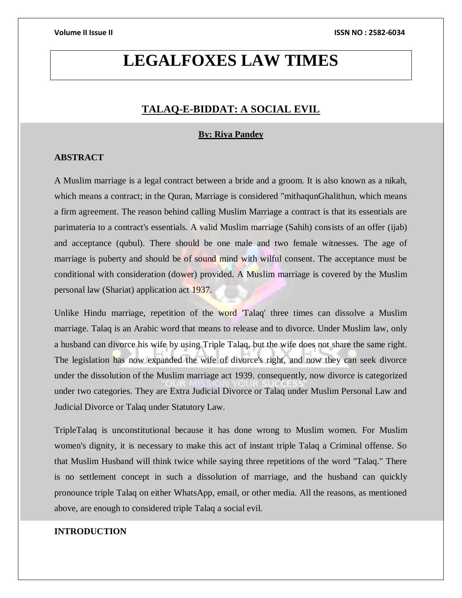## **LEGALFOXES LAW TIMES**

## **TALAQ-E-BIDDAT: A SOCIAL EVIL**

### **By: Riya Pandey**

## **ABSTRACT**

A Muslim marriage is a legal contract between a bride and a groom. It is also known as a nikah, which means a contract; in the Quran, Marriage is considered "mithaqunGhalithun, which means a firm agreement. The reason behind calling Muslim Marriage a contract is that its essentials are parimateria to a contract's essentials. A valid Muslim marriage (Sahih) consists of an offer (ijab) and acceptance (qubul). There should be one male and two female witnesses. The age of marriage is puberty and should be of sound mind with wilful consent. The acceptance must be conditional with consideration (dower) provided. A Muslim marriage is covered by the Muslim personal law (Shariat) application act 1937.

Unlike Hindu marriage, repetition of the word 'Talaq' three times can dissolve a Muslim marriage. Talaq is an Arabic word that means to release and to divorce. Under Muslim law, only a husband can divorce his wife by using Triple Talaq, but the wife does not share the same right. The legislation has now expanded the wife of divorce's right, and now they can seek divorce under the dissolution of the Muslim marriage act 1939. consequently, now divorce is categorized under two categories. They are Extra Judicial Divorce or Talaq under Muslim Personal Law and Judicial Divorce or Talaq under Statutory Law.

TripleTalaq is unconstitutional because it has done wrong to Muslim women. For Muslim women's dignity, it is necessary to make this act of instant triple Talaq a Criminal offense. So that Muslim Husband will think twice while saying three repetitions of the word "Talaq." There is no settlement concept in such a dissolution of marriage, and the husband can quickly pronounce triple Talaq on either WhatsApp, email, or other media. All the reasons, as mentioned above, are enough to considered triple Talaq a social evil.

### **INTRODUCTION**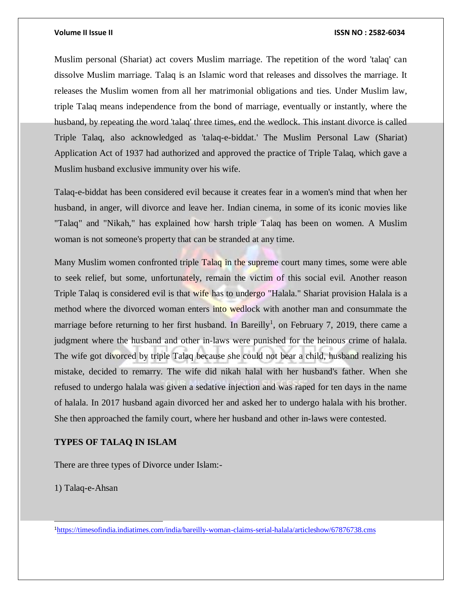Muslim personal (Shariat) act covers Muslim marriage. The repetition of the word 'talaq' can dissolve Muslim marriage. Talaq is an Islamic word that releases and dissolves the marriage. It releases the Muslim women from all her matrimonial obligations and ties. Under Muslim law, triple Talaq means independence from the bond of marriage, eventually or instantly, where the husband, by repeating the word 'talaq' three times, end the wedlock. This instant divorce is called Triple Talaq, also acknowledged as 'talaq-e-biddat.' The Muslim Personal Law (Shariat) Application Act of 1937 had authorized and approved the practice of Triple Talaq, which gave a Muslim husband exclusive immunity over his wife.

Talaq-e-biddat has been considered evil because it creates fear in a women's mind that when her husband, in anger, will divorce and leave her. Indian cinema, in some of its iconic movies like "Talaq" and "Nikah," has explained how harsh triple Talaq has been on women. A Muslim woman is not someone's property that can be stranded at any time.

Many Muslim women confronted triple Talaq in the supreme court many times, some were able to seek relief, but some, unfortunately, remain the victim of this social evil. Another reason Triple Talaq is considered evil is that wife has to undergo "Halala." Shariat provision Halala is a method where the divorced woman enters into wedlock with another man and consummate the marriage before returning to her first husband. In Bareilly<sup>1</sup>, on February 7, 2019, there came a judgment where the husband and other in-laws were punished for the heinous crime of halala. The wife got divorced by triple Talaq because she could not bear a child, husband realizing his mistake, decided to remarry. The wife did nikah halal with her husband's father. When she refused to undergo halala was given a sedative injection and was raped for ten days in the name of halala. In 2017 husband again divorced her and asked her to undergo halala with his brother. She then approached the family court, where her husband and other in-laws were contested.

### **TYPES OF TALAQ IN ISLAM**

There are three types of Divorce under Islam:-

1) Talaq-e-Ahsan

l

1<https://timesofindia.indiatimes.com/india/bareilly-woman-claims-serial-halala/articleshow/67876738.cms>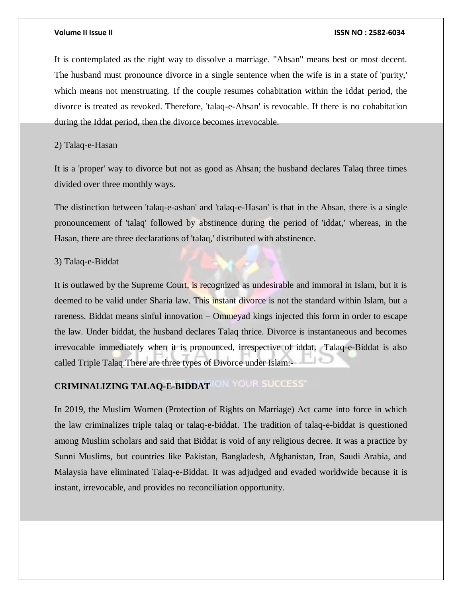It is contemplated as the right way to dissolve a marriage. "Ahsan" means best or most decent. The husband must pronounce divorce in a single sentence when the wife is in a state of 'purity,' which means not menstruating. If the couple resumes cohabitation within the Iddat period, the divorce is treated as revoked. Therefore, 'talaq-e-Ahsan' is revocable. If there is no cohabitation during the Iddat period, then the divorce becomes irrevocable.

## 2) Talaq-e-Hasan

It is a 'proper' way to divorce but not as good as Ahsan; the husband declares Talaq three times divided over three monthly ways.

The distinction between 'talaq-e-ashan' and 'talaq-e-Hasan' is that in the Ahsan, there is a single pronouncement of 'talaq' followed by abstinence during the period of 'iddat,' whereas, in the Hasan, there are three declarations of 'talaq,' distributed with abstinence.

### 3) Talaq-e-Biddat

It is outlawed by the Supreme Court, is recognized as undesirable and immoral in Islam, but it is deemed to be valid under Sharia law. This instant divorce is not the standard within Islam, but a rareness. Biddat means sinful innovation – Ommeyad kings injected this form in order to escape the law. Under biddat, the husband declares Talaq thrice. Divorce is instantaneous and becomes irrevocable immediately when it is pronounced, irrespective of iddat. Talaq-e-Biddat is also called Triple Talaq.There are three types of Divorce under Islam:-

## **CRIMINALIZING TALAQ-E-BIDDAT**

In 2019, the Muslim Women (Protection of Rights on Marriage) Act came into force in which the law criminalizes triple talaq or talaq-e-biddat. The tradition of talaq-e-biddat is questioned among Muslim scholars and said that Biddat is void of any religious decree. It was a practice by Sunni Muslims, but countries like Pakistan, Bangladesh, Afghanistan, Iran, Saudi Arabia, and Malaysia have eliminated Talaq-e-Biddat. It was adjudged and evaded worldwide because it is instant, irrevocable, and provides no reconciliation opportunity.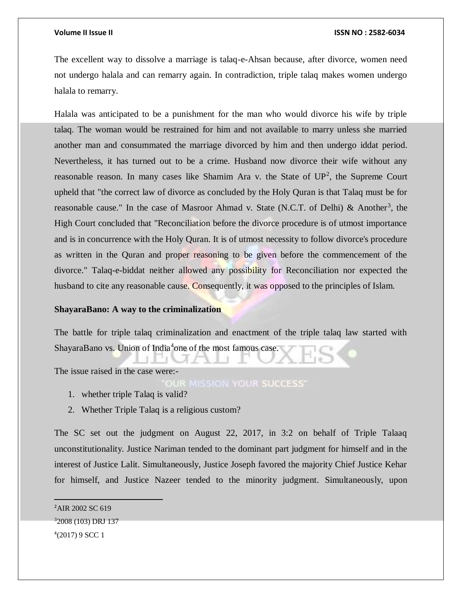The excellent way to dissolve a marriage is talaq-e-Ahsan because, after divorce, women need not undergo halala and can remarry again. In contradiction, triple talaq makes women undergo halala to remarry.

Halala was anticipated to be a punishment for the man who would divorce his wife by triple talaq. The woman would be restrained for him and not available to marry unless she married another man and consummated the marriage divorced by him and then undergo iddat period. Nevertheless, it has turned out to be a crime. Husband now divorce their wife without any reasonable reason. In many cases like Shamim Ara v. the State of  $UP^2$ , the Supreme Court upheld that "the correct law of divorce as concluded by the Holy Quran is that Talaq must be for reasonable cause." In the case of Masroor Ahmad v. State (N.C.T. of Delhi) & Another<sup>3</sup>, the High Court concluded that "Reconciliation before the divorce procedure is of utmost importance and is in concurrence with the Holy Quran. It is of utmost necessity to follow divorce's procedure as written in the Quran and proper reasoning to be given before the commencement of the divorce." Talaq-e-biddat neither allowed any possibility for Reconciliation nor expected the husband to cite any reasonable cause. Consequently, it was opposed to the principles of Islam.

### **ShayaraBano: A way to the criminalization**

The battle for triple talaq criminalization and enactment of the triple talaq law started with ShayaraBano vs. Union of India<sup>4</sup>one of the most famous case.

The issue raised in the case were:-

OUR MISSION YOUR SUCCESS'

- 1. whether triple Talaq is valid?
- 2. Whether Triple Talaq is a religious custom?

The SC set out the judgment on August 22, 2017, in 3:2 on behalf of Triple Talaaq unconstitutionality. Justice Nariman tended to the dominant part judgment for himself and in the interest of Justice Lalit. Simultaneously, Justice Joseph favored the majority Chief Justice Kehar for himself, and Justice Nazeer tended to the minority judgment. Simultaneously, upon

<sup>2</sup>AIR 2002 SC 619 <sup>3</sup>2008 (103) DRJ 137 4 (2017) 9 SCC 1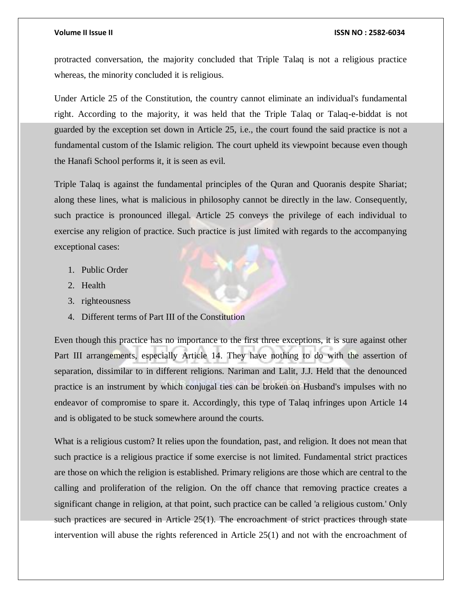protracted conversation, the majority concluded that Triple Talaq is not a religious practice whereas, the minority concluded it is religious.

Under Article 25 of the Constitution, the country cannot eliminate an individual's fundamental right. According to the majority, it was held that the Triple Talaq or Talaq-e-biddat is not guarded by the exception set down in Article 25, i.e., the court found the said practice is not a fundamental custom of the Islamic religion. The court upheld its viewpoint because even though the Hanafi School performs it, it is seen as evil.

Triple Talaq is against the fundamental principles of the Quran and Quoranis despite Shariat; along these lines, what is malicious in philosophy cannot be directly in the law. Consequently, such practice is pronounced illegal. Article 25 conveys the privilege of each individual to exercise any religion of practice. Such practice is just limited with regards to the accompanying exceptional cases:

- 1. Public Order
- 2. Health
- 3. righteousness
- 4. Different terms of Part III of the Constitution

Even though this practice has no importance to the first three exceptions, it is sure against other Part III arrangements, especially Article 14. They have nothing to do with the assertion of separation, dissimilar to in different religions. Nariman and Lalit, J.J. Held that the denounced practice is an instrument by which conjugal ties can be broken on Husband's impulses with no endeavor of compromise to spare it. Accordingly, this type of Talaq infringes upon Article 14 and is obligated to be stuck somewhere around the courts.

What is a religious custom? It relies upon the foundation, past, and religion. It does not mean that such practice is a religious practice if some exercise is not limited. Fundamental strict practices are those on which the religion is established. Primary religions are those which are central to the calling and proliferation of the religion. On the off chance that removing practice creates a significant change in religion, at that point, such practice can be called 'a religious custom.' Only such practices are secured in Article 25(1). The encroachment of strict practices through state intervention will abuse the rights referenced in Article 25(1) and not with the encroachment of